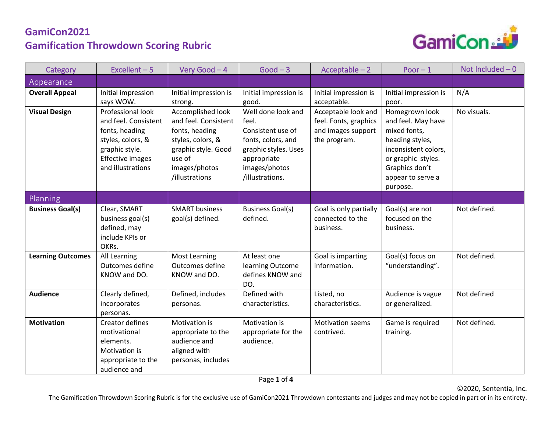

| Category                 | Excellent $-5$                                                                                                                                     | Very Good - 4                                                                                                                                        | $Good - 3$                                                                                                                                        | $Acceptable - 2$                                                                   | Poor $-1$                                                                                                                                                                | Not Included $-0$ |
|--------------------------|----------------------------------------------------------------------------------------------------------------------------------------------------|------------------------------------------------------------------------------------------------------------------------------------------------------|---------------------------------------------------------------------------------------------------------------------------------------------------|------------------------------------------------------------------------------------|--------------------------------------------------------------------------------------------------------------------------------------------------------------------------|-------------------|
| Appearance               |                                                                                                                                                    |                                                                                                                                                      |                                                                                                                                                   |                                                                                    |                                                                                                                                                                          |                   |
| <b>Overall Appeal</b>    | Initial impression<br>says WOW.                                                                                                                    | Initial impression is<br>strong.                                                                                                                     | Initial impression is<br>good.                                                                                                                    | Initial impression is<br>acceptable.                                               | Initial impression is<br>poor.                                                                                                                                           | N/A               |
| <b>Visual Design</b>     | Professional look<br>and feel. Consistent<br>fonts, heading<br>styles, colors, &<br>graphic style.<br><b>Effective images</b><br>and illustrations | Accomplished look<br>and feel. Consistent<br>fonts, heading<br>styles, colors, &<br>graphic style. Good<br>use of<br>images/photos<br>/illustrations | Well done look and<br>feel.<br>Consistent use of<br>fonts, colors, and<br>graphic styles. Uses<br>appropriate<br>images/photos<br>/illustrations. | Acceptable look and<br>feel. Fonts, graphics<br>and images support<br>the program. | Homegrown look<br>and feel. May have<br>mixed fonts,<br>heading styles,<br>inconsistent colors,<br>or graphic styles.<br>Graphics don't<br>appear to serve a<br>purpose. | No visuals.       |
| Planning                 |                                                                                                                                                    |                                                                                                                                                      |                                                                                                                                                   |                                                                                    |                                                                                                                                                                          |                   |
| <b>Business Goal(s)</b>  | Clear, SMART<br>business goal(s)<br>defined, may<br>include KPIs or<br>OKRs.                                                                       | <b>SMART business</b><br>goal(s) defined.                                                                                                            | <b>Business Goal(s)</b><br>defined.                                                                                                               | Goal is only partially<br>connected to the<br>business.                            | Goal(s) are not<br>focused on the<br>business.                                                                                                                           | Not defined.      |
| <b>Learning Outcomes</b> | All Learning<br>Outcomes define<br>KNOW and DO.                                                                                                    | <b>Most Learning</b><br>Outcomes define<br>KNOW and DO.                                                                                              | At least one<br>learning Outcome<br>defines KNOW and<br>DO.                                                                                       | Goal is imparting<br>information.                                                  | Goal(s) focus on<br>"understanding".                                                                                                                                     | Not defined.      |
| <b>Audience</b>          | Clearly defined,<br>incorporates<br>personas.                                                                                                      | Defined, includes<br>personas.                                                                                                                       | Defined with<br>characteristics.                                                                                                                  | Listed, no<br>characteristics.                                                     | Audience is vague<br>or generalized.                                                                                                                                     | Not defined       |
| <b>Motivation</b>        | <b>Creator defines</b><br>motivational<br>elements.<br>Motivation is<br>appropriate to the<br>audience and                                         | Motivation is<br>appropriate to the<br>audience and<br>aligned with<br>personas, includes                                                            | Motivation is<br>appropriate for the<br>audience.                                                                                                 | <b>Motivation seems</b><br>contrived.                                              | Game is required<br>training.                                                                                                                                            | Not defined.      |

The Gamification Throwdown Scoring Rubric is for the exclusive use of GamiCon2021 Throwdown contestants and judges and may not be copied in part or in its entirety.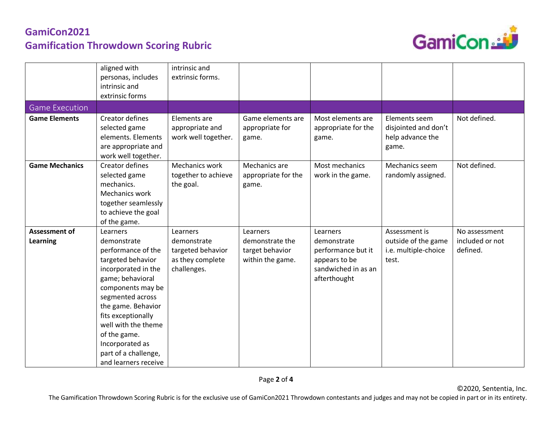

|                                         | aligned with<br>personas, includes<br>intrinsic and<br>extrinsic forms                                                                                                                                                                                                                                       | intrinsic and<br>extrinsic forms.                                               |                                                                    |                                                                                                       |                                                                       |                                              |
|-----------------------------------------|--------------------------------------------------------------------------------------------------------------------------------------------------------------------------------------------------------------------------------------------------------------------------------------------------------------|---------------------------------------------------------------------------------|--------------------------------------------------------------------|-------------------------------------------------------------------------------------------------------|-----------------------------------------------------------------------|----------------------------------------------|
| <b>Game Execution</b>                   |                                                                                                                                                                                                                                                                                                              |                                                                                 |                                                                    |                                                                                                       |                                                                       |                                              |
| <b>Game Elements</b>                    | Creator defines<br>selected game<br>elements. Elements<br>are appropriate and<br>work well together.                                                                                                                                                                                                         | Elements are<br>appropriate and<br>work well together.                          | Game elements are<br>appropriate for<br>game.                      | Most elements are<br>appropriate for the<br>game.                                                     | Elements seem<br>disjointed and don't<br>help advance the<br>game.    | Not defined.                                 |
| <b>Game Mechanics</b>                   | Creator defines<br>selected game<br>mechanics.<br>Mechanics work<br>together seamlessly<br>to achieve the goal<br>of the game.                                                                                                                                                                               | Mechanics work<br>together to achieve<br>the goal.                              | Mechanics are<br>appropriate for the<br>game.                      | Most mechanics<br>work in the game.                                                                   | Mechanics seem<br>randomly assigned.                                  | Not defined.                                 |
| <b>Assessment of</b><br><b>Learning</b> | Learners<br>demonstrate<br>performance of the<br>targeted behavior<br>incorporated in the<br>game; behavioral<br>components may be<br>segmented across<br>the game. Behavior<br>fits exceptionally<br>well with the theme<br>of the game.<br>Incorporated as<br>part of a challenge,<br>and learners receive | Learners<br>demonstrate<br>targeted behavior<br>as they complete<br>challenges. | Learners<br>demonstrate the<br>target behavior<br>within the game. | Learners<br>demonstrate<br>performance but it<br>appears to be<br>sandwiched in as an<br>afterthought | Assessment is<br>outside of the game<br>i.e. multiple-choice<br>test. | No assessment<br>included or not<br>defined. |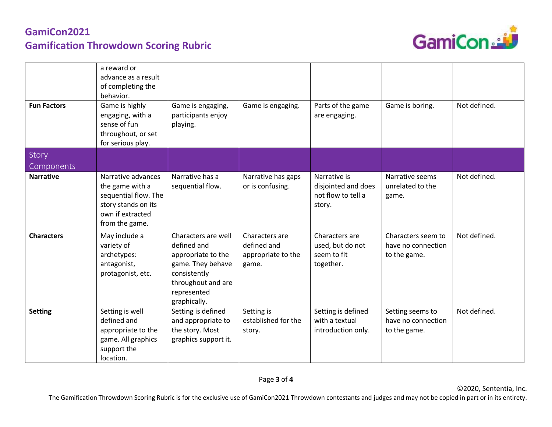

| <b>Fun Factors</b> | a reward or<br>advance as a result<br>of completing the<br>behavior.<br>Game is highly<br>engaging, with a<br>sense of fun<br>throughout, or set<br>for serious play. | Game is engaging,<br>participants enjoy<br>playing.                                                                                                | Game is engaging.                                            | Parts of the game<br>are engaging.                                  | Game is boring.                                          | Not defined. |
|--------------------|-----------------------------------------------------------------------------------------------------------------------------------------------------------------------|----------------------------------------------------------------------------------------------------------------------------------------------------|--------------------------------------------------------------|---------------------------------------------------------------------|----------------------------------------------------------|--------------|
| Story              |                                                                                                                                                                       |                                                                                                                                                    |                                                              |                                                                     |                                                          |              |
| Components         |                                                                                                                                                                       |                                                                                                                                                    |                                                              |                                                                     |                                                          |              |
| <b>Narrative</b>   | Narrative advances<br>the game with a<br>sequential flow. The<br>story stands on its<br>own if extracted<br>from the game.                                            | Narrative has a<br>sequential flow.                                                                                                                | Narrative has gaps<br>or is confusing.                       | Narrative is<br>disjointed and does<br>not flow to tell a<br>story. | Narrative seems<br>unrelated to the<br>game.             | Not defined. |
| <b>Characters</b>  | May include a<br>variety of<br>archetypes:<br>antagonist,<br>protagonist, etc.                                                                                        | Characters are well<br>defined and<br>appropriate to the<br>game. They behave<br>consistently<br>throughout and are<br>represented<br>graphically. | Characters are<br>defined and<br>appropriate to the<br>game. | Characters are<br>used, but do not<br>seem to fit<br>together.      | Characters seem to<br>have no connection<br>to the game. | Not defined. |
| <b>Setting</b>     | Setting is well<br>defined and<br>appropriate to the<br>game. All graphics<br>support the<br>location.                                                                | Setting is defined<br>and appropriate to<br>the story. Most<br>graphics support it.                                                                | Setting is<br>established for the<br>story.                  | Setting is defined<br>with a textual<br>introduction only.          | Setting seems to<br>have no connection<br>to the game.   | Not defined. |